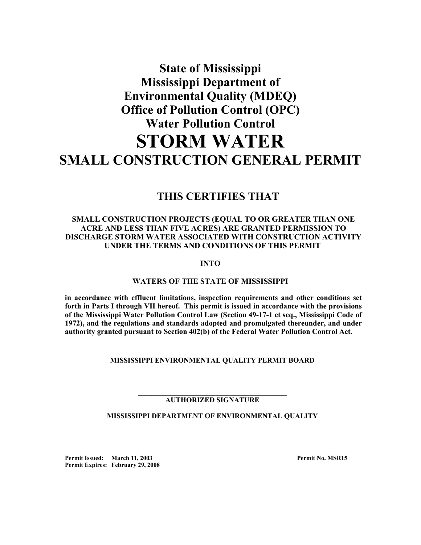## **State of Mississippi Mississippi Department of Environmental Quality (MDEQ) Office of Pollution Control (OPC) Water Pollution Control STORM WATER SMALL CONSTRUCTION GENERAL PERMIT**

## **THIS CERTIFIES THAT**

## **SMALL CONSTRUCTION PROJECTS (EQUAL TO OR GREATER THAN ONE ACRE AND LESS THAN FIVE ACRES) ARE GRANTED PERMISSION TO DISCHARGE STORM WATER ASSOCIATED WITH CONSTRUCTION ACTIVITY UNDER THE TERMS AND CONDITIONS OF THIS PERMIT**

**INTO**

**WATERS OF THE STATE OF MISSISSIPPI**

**in accordance with effluent limitations, inspection requirements and other conditions set forth in Parts I through VII hereof. This permit is issued in accordance with the provisions of the Mississippi Water Pollution Control Law (Section 49-17-1 et seq., Mississippi Code of 1972), and the regulations and standards adopted and promulgated thereunder, and under authority granted pursuant to Section 402(b) of the Federal Water Pollution Control Act.**

**MISSISSIPPI ENVIRONMENTAL QUALITY PERMIT BOARD**

#### **\_\_\_\_\_\_\_\_\_\_\_\_\_\_\_\_\_\_\_\_\_\_\_\_\_\_\_\_\_\_\_\_\_\_\_\_\_\_\_\_\_\_\_\_\_\_\_\_ AUTHORIZED SIGNATURE**

## **MISSISSIPPI DEPARTMENT OF ENVIRONMENTAL QUALITY**

Permit Issued: March 11, 2003 **Permit No. MSR15 Permit Expires: February 29, 2008**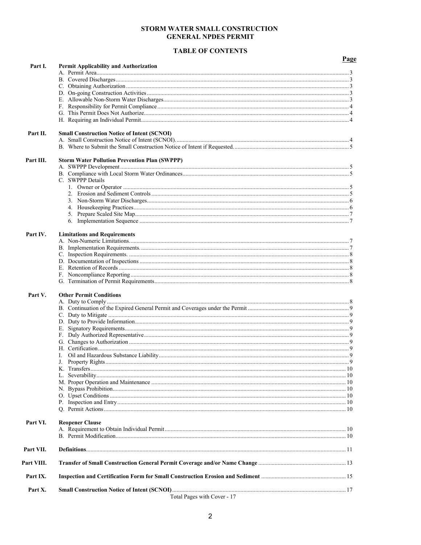## STORM WATER SMALL CONSTRUCTION **GENERAL NPDES PERMIT**

## **TABLE OF CONTENTS**

|            |                                                      | Page |
|------------|------------------------------------------------------|------|
| Part I.    | <b>Permit Applicability and Authorization</b>        |      |
|            |                                                      |      |
|            |                                                      |      |
|            |                                                      |      |
|            |                                                      |      |
|            |                                                      |      |
|            |                                                      |      |
|            |                                                      |      |
| Part II.   | <b>Small Construction Notice of Intent (SCNOI)</b>   |      |
|            |                                                      |      |
| Part III.  | <b>Storm Water Pollution Prevention Plan (SWPPP)</b> |      |
|            |                                                      |      |
|            |                                                      |      |
|            | C. SWPPP Details                                     |      |
|            |                                                      |      |
|            |                                                      |      |
|            |                                                      |      |
|            |                                                      |      |
|            |                                                      |      |
|            |                                                      |      |
| Part IV.   | <b>Limitations and Requirements</b>                  |      |
|            |                                                      |      |
|            |                                                      |      |
|            |                                                      |      |
|            |                                                      |      |
|            |                                                      |      |
|            |                                                      |      |
| Part V.    | <b>Other Permit Conditions</b>                       |      |
|            |                                                      |      |
|            |                                                      |      |
|            |                                                      |      |
|            |                                                      |      |
|            |                                                      |      |
|            |                                                      |      |
|            |                                                      |      |
|            |                                                      |      |
|            |                                                      |      |
|            |                                                      |      |
|            |                                                      |      |
|            |                                                      |      |
|            |                                                      |      |
|            |                                                      |      |
|            |                                                      |      |
|            |                                                      |      |
| Part VI.   | <b>Reopener Clause</b>                               |      |
|            |                                                      |      |
|            |                                                      |      |
| Part VII.  |                                                      |      |
| Part VIII. |                                                      |      |
| Part IX.   |                                                      |      |
| Part X.    |                                                      |      |
|            | Total Pages with Cover - 17                          |      |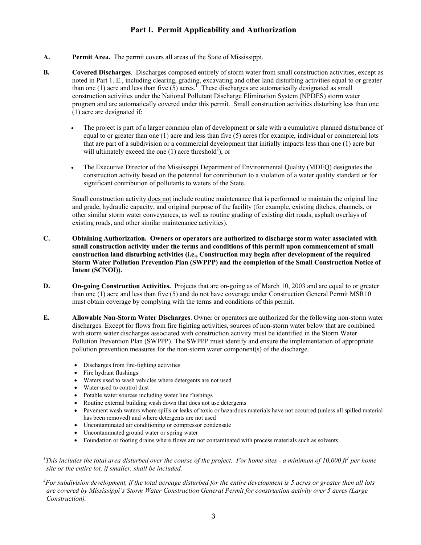## **Part I. Permit Applicability and Authorization**

- **A. Permit Area.** The permit covers all areas of the State of Mississippi.
- **B. Covered Discharges**. Discharges composed entirely of storm water from small construction activities, except as noted in Part 1. E., including clearing, grading, excavating and other land disturbing activities equal to or greater than one (1) acre and less than five  $(5)$  acres.<sup>1</sup> These discharges are automatically designated as small construction activities under the National Pollutant Discharge Elimination System (NPDES) storm water program and are automatically covered under this permit. Small construction activities disturbing less than one (1) acre are designated if:
	- The project is part of a larger common plan of development or sale with a cumulative planned disturbance of equal to or greater than one (1) acre and less than five (5) acres (for example, individual or commercial lots that are part of a subdivision or a commercial development that initially impacts less than one (1) acre but will ultimately exceed the one  $(1)$  acre threshold<sup>2</sup>), or
	- The Executive Director of the Mississippi Department of Environmental Quality (MDEQ) designates the construction activity based on the potential for contribution to a violation of a water quality standard or for significant contribution of pollutants to waters of the State.

Small construction activity does not include routine maintenance that is performed to maintain the original line and grade, hydraulic capacity, and original purpose of the facility (for example, existing ditches, channels, or other similar storm water conveyances, as well as routine grading of existing dirt roads, asphalt overlays of existing roads, and other similar maintenance activities).

- **C. Obtaining Authorization. Owners or operators are authorized to discharge storm water associated with small construction activity under the terms and conditions of this permit upon commencement of small construction land disturbing activities (i.e., Construction may begin after development of the required Storm Water Pollution Prevention Plan (SWPPP) and the completion of the Small Construction Notice of Intent (SCNOI)).**
- **D. On-going Construction Activities.** Projects that are on-going as of March 10, 2003 and are equal to or greater than one (1) acre and less than five (5) and do not have coverage under Construction General Permit MSR10 must obtain coverage by complying with the terms and conditions of this permit.
- **E. Allowable Non-Storm Water Discharges**. Owner or operators are authorized for the following non-storm water discharges. Except for flows from fire fighting activities, sources of non-storm water below that are combined with storm water discharges associated with construction activity must be identified in the Storm Water Pollution Prevention Plan (SWPPP). The SWPPP must identify and ensure the implementation of appropriate pollution prevention measures for the non-storm water component(s) of the discharge.
	- Discharges from fire-fighting activities
	- Fire hydrant flushings
	- Waters used to wash vehicles where detergents are not used
	- Water used to control dust
	- Potable water sources including water line flushings
	- Routine external building wash down that does not use detergents
	- Pavement wash waters where spills or leaks of toxic or hazardous materials have not occurred (unless all spilled material has been removed) and where detergents are not used
	- Uncontaminated air conditioning or compressor condensate
	- Uncontaminated ground water or spring water
	- Foundation or footing drains where flows are not contaminated with process materials such as solvents

<sup>1</sup>This includes the total area disturbed over the course of the project. For home sites - a minimum of 10,000 ft<sup>2</sup> per home *site or the entire lot, if smaller, shall be included.*

*2 For subdivision development, if the total acreage disturbed for the entire development is 5 acres or greater then all lots are covered by Mississippi's Storm Water Construction General Permit for construction activity over 5 acres (Large Construction).*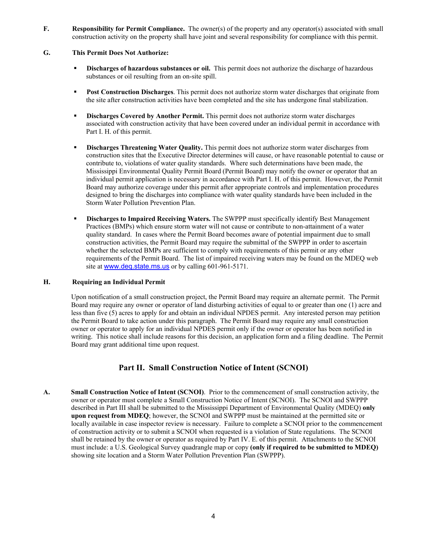**F. Responsibility for Permit Compliance.** The owner(s) of the property and any operator(s) associated with small construction activity on the property shall have joint and several responsibility for compliance with this permit.

## **G. This Permit Does Not Authorize:**

- **Discharges of hazardous substances or oil.** This permit does not authorize the discharge of hazardous substances or oil resulting from an on-site spill.
- **Post Construction Discharges**. This permit does not authorize storm water discharges that originate from the site after construction activities have been completed and the site has undergone final stabilization.
- **Discharges Covered by Another Permit.** This permit does not authorize storm water discharges associated with construction activity that have been covered under an individual permit in accordance with Part I. H. of this permit.
- **Discharges Threatening Water Quality.** This permit does not authorize storm water discharges from construction sites that the Executive Director determines will cause, or have reasonable potential to cause or contribute to, violations of water quality standards. Where such determinations have been made, the Mississippi Environmental Quality Permit Board (Permit Board) may notify the owner or operator that an individual permit application is necessary in accordance with Part I. H. of this permit. However, the Permit Board may authorize coverage under this permit after appropriate controls and implementation procedures designed to bring the discharges into compliance with water quality standards have been included in the Storm Water Pollution Prevention Plan.
- **Discharges to Impaired Receiving Waters.** The SWPPP must specifically identify Best Management Practices (BMPs) which ensure storm water will not cause or contribute to non-attainment of a water quality standard. In cases where the Permit Board becomes aware of potential impairment due to small construction activities, the Permit Board may require the submittal of the SWPPP in order to ascertain whether the selected BMPs are sufficient to comply with requirements of this permit or any other requirements of the Permit Board. The list of impaired receiving waters may be found on the MDEQ web site at [www.deq.state.ms.us](http://www.deq.state.ms.us/) or by calling 601-961-5171.

## **H. Requiring an Individual Permit**

Upon notification of a small construction project, the Permit Board may require an alternate permit. The Permit Board may require any owner or operator of land disturbing activities of equal to or greater than one (1) acre and less than five (5) acres to apply for and obtain an individual NPDES permit. Any interested person may petition the Permit Board to take action under this paragraph. The Permit Board may require any small construction owner or operator to apply for an individual NPDES permit only if the owner or operator has been notified in writing. This notice shall include reasons for this decision, an application form and a filing deadline. The Permit Board may grant additional time upon request.

## **Part II. Small Construction Notice of Intent (SCNOI)**

**A. Small Construction Notice of Intent (SCNOI)**. Prior to the commencement of small construction activity, the owner or operator must complete a Small Construction Notice of Intent (SCNOI). The SCNOI and SWPPP described in Part III shall be submitted to the Mississippi Department of Environmental Quality (MDEQ) **only upon request from MDEQ**; however, the SCNOI and SWPPP must be maintained at the permitted site or locally available in case inspector review is necessary. Failure to complete a SCNOI prior to the commencement of construction activity or to submit a SCNOI when requested is a violation of State regulations. The SCNOI shall be retained by the owner or operator as required by Part IV. E. of this permit. Attachments to the SCNOI must include: a U.S. Geological Survey quadrangle map or copy **(only if required to be submitted to MDEQ)** showing site location and a Storm Water Pollution Prevention Plan (SWPPP).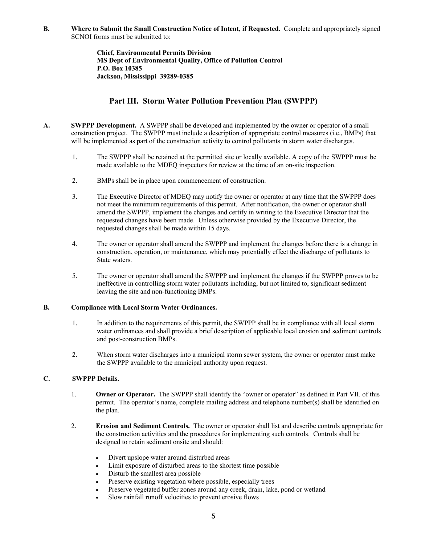**B. Where to Submit the Small Construction Notice of Intent, if Requested.** Complete and appropriately signed SCNOI forms must be submitted to:

> **Chief, Environmental Permits Division MS Dept of Environmental Quality, Office of Pollution Control P.O. Box 10385 Jackson, Mississippi 39289-0385**

## **Part III. Storm Water Pollution Prevention Plan (SWPPP)**

- **A. SWPPP Development.** A SWPPP shall be developed and implemented by the owner or operator of a small construction project. The SWPPP must include a description of appropriate control measures (i.e., BMPs) that will be implemented as part of the construction activity to control pollutants in storm water discharges.
	- 1. The SWPPP shall be retained at the permitted site or locally available. A copy of the SWPPP must be made available to the MDEQ inspectors for review at the time of an on-site inspection.
	- 2. BMPs shall be in place upon commencement of construction.
	- 3. The Executive Director of MDEQ may notify the owner or operator at any time that the SWPPP does not meet the minimum requirements of this permit. After notification, the owner or operator shall amend the SWPPP, implement the changes and certify in writing to the Executive Director that the requested changes have been made. Unless otherwise provided by the Executive Director, the requested changes shall be made within 15 days.
	- 4. The owner or operator shall amend the SWPPP and implement the changes before there is a change in construction, operation, or maintenance, which may potentially effect the discharge of pollutants to State waters.
	- 5. The owner or operator shall amend the SWPPP and implement the changes if the SWPPP proves to be ineffective in controlling storm water pollutants including, but not limited to, significant sediment leaving the site and non-functioning BMPs.

## **B. Compliance with Local Storm Water Ordinances.**

- 1. In addition to the requirements of this permit, the SWPPP shall be in compliance with all local storm water ordinances and shall provide a brief description of applicable local erosion and sediment controls and post-construction BMPs.
- 2. When storm water discharges into a municipal storm sewer system, the owner or operator must make the SWPPP available to the municipal authority upon request.

## **C. SWPPP Details.**

- 1. **Owner or Operator.** The SWPPP shall identify the "owner or operator" as defined in Part VII. of this permit. The operator's name, complete mailing address and telephone number(s) shall be identified on the plan.
- 2. **Erosion and Sediment Controls.** The owner or operator shall list and describe controls appropriate for the construction activities and the procedures for implementing such controls. Controls shall be designed to retain sediment onsite and should:
	- Divert upslope water around disturbed areas
	- Limit exposure of disturbed areas to the shortest time possible
	- Disturb the smallest area possible
	- Preserve existing vegetation where possible, especially trees
	- Preserve vegetated buffer zones around any creek, drain, lake, pond or wetland
	- Slow rainfall runoff velocities to prevent erosive flows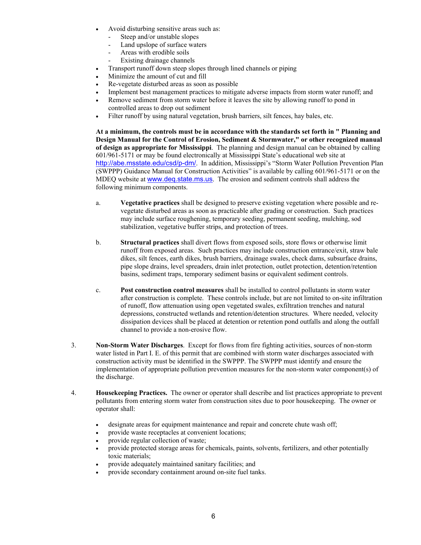- Avoid disturbing sensitive areas such as:
	- Steep and/or unstable slopes
	- Land upslope of surface waters
	- Areas with erodible soils
	- Existing drainage channels
- Transport runoff down steep slopes through lined channels or piping
- Minimize the amount of cut and fill
- Re-vegetate disturbed areas as soon as possible
- Implement best management practices to mitigate adverse impacts from storm water runoff; and
- Remove sediment from storm water before it leaves the site by allowing runoff to pond in controlled areas to drop out sediment
- Filter runoff by using natural vegetation, brush barriers, silt fences, hay bales, etc.

**At a minimum, the controls must be in accordance with the standards set forth in " Planning and Design Manual for the Control of Erosion, Sediment & Stormwater," or other recognized manual of design as appropriate for Mississippi**. The planning and design manual can be obtained by calling 601/961-5171 or may be found electronically at Mississippi State's educational web site at <http://abe.msstate.edu/csd/p-dm/>. In addition, Mississippi's "Storm Water Pollution Prevention Plan (SWPPP) Guidance Manual for Construction Activities" is available by calling 601/961-5171 or on the MDEQ website at [www.deq.state.ms.us](http://www.deq.state.ms.us/). The erosion and sediment controls shall address the following minimum components.

- a. **Vegetative practices** shall be designed to preserve existing vegetation where possible and revegetate disturbed areas as soon as practicable after grading or construction. Such practices may include surface roughening, temporary seeding, permanent seeding, mulching, sod stabilization, vegetative buffer strips, and protection of trees.
- b. **Structural practices** shall divert flows from exposed soils, store flows or otherwise limit runoff from exposed areas. Such practices may include construction entrance/exit, straw bale dikes, silt fences, earth dikes, brush barriers, drainage swales, check dams, subsurface drains, pipe slope drains, level spreaders, drain inlet protection, outlet protection, detention/retention basins, sediment traps, temporary sediment basins or equivalent sediment controls.
- c. **Post construction control measures** shall be installed to control pollutants in storm water after construction is complete. These controls include, but are not limited to on-site infiltration of runoff, flow attenuation using open vegetated swales, exfiltration trenches and natural depressions, constructed wetlands and retention/detention structures. Where needed, velocity dissipation devices shall be placed at detention or retention pond outfalls and along the outfall channel to provide a non-erosive flow.
- 3. **Non-Storm Water Discharges**. Except for flows from fire fighting activities, sources of non-storm water listed in Part I. E. of this permit that are combined with storm water discharges associated with construction activity must be identified in the SWPPP. The SWPPP must identify and ensure the implementation of appropriate pollution prevention measures for the non-storm water component(s) of the discharge.
- 4. **Housekeeping Practices.** The owner or operator shall describe and list practices appropriate to prevent pollutants from entering storm water from construction sites due to poor housekeeping. The owner or operator shall:
	- designate areas for equipment maintenance and repair and concrete chute wash off;
	- provide waste receptacles at convenient locations;
	- provide regular collection of waste;
	- provide protected storage areas for chemicals, paints, solvents, fertilizers, and other potentially toxic materials;
	- provide adequately maintained sanitary facilities; and
	- provide secondary containment around on-site fuel tanks.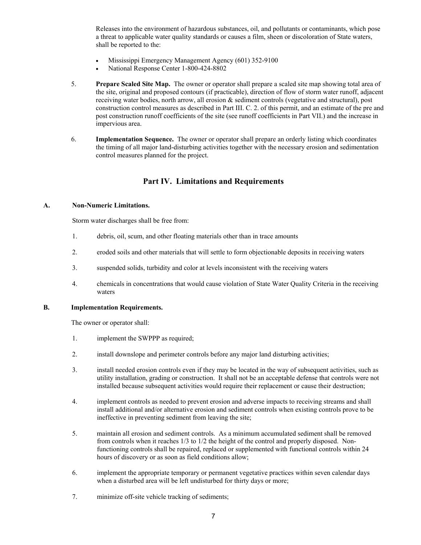Releases into the environment of hazardous substances, oil, and pollutants or contaminants, which pose a threat to applicable water quality standards or causes a film, sheen or discoloration of State waters, shall be reported to the:

- Mississippi Emergency Management Agency (601) 352-9100
- National Response Center 1-800-424-8802
- 5. **Prepare Scaled Site Map.** The owner or operator shall prepare a scaled site map showing total area of the site, original and proposed contours (if practicable), direction of flow of storm water runoff, adjacent receiving water bodies, north arrow, all erosion & sediment controls (vegetative and structural), post construction control measures as described in Part III. C. 2. of this permit, and an estimate of the pre and post construction runoff coefficients of the site (see runoff coefficients in Part VII.) and the increase in impervious area.
- 6. **Implementation Sequence.** The owner or operator shall prepare an orderly listing which coordinates the timing of all major land-disturbing activities together with the necessary erosion and sedimentation control measures planned for the project.

## **Part IV. Limitations and Requirements**

#### **A. Non-Numeric Limitations.**

Storm water discharges shall be free from:

- 1. debris, oil, scum, and other floating materials other than in trace amounts
- 2. eroded soils and other materials that will settle to form objectionable deposits in receiving waters
- 3. suspended solids, turbidity and color at levels inconsistent with the receiving waters
- 4. chemicals in concentrations that would cause violation of State Water Quality Criteria in the receiving waters

#### **B. Implementation Requirements.**

The owner or operator shall:

- 1. implement the SWPPP as required;
- 2. install downslope and perimeter controls before any major land disturbing activities;
- 3. install needed erosion controls even if they may be located in the way of subsequent activities, such as utility installation, grading or construction. It shall not be an acceptable defense that controls were not installed because subsequent activities would require their replacement or cause their destruction;
- 4. implement controls as needed to prevent erosion and adverse impacts to receiving streams and shall install additional and/or alternative erosion and sediment controls when existing controls prove to be ineffective in preventing sediment from leaving the site;
- 5. maintain all erosion and sediment controls. As a minimum accumulated sediment shall be removed from controls when it reaches 1/3 to 1/2 the height of the control and properly disposed. Nonfunctioning controls shall be repaired, replaced or supplemented with functional controls within 24 hours of discovery or as soon as field conditions allow;
- 6. implement the appropriate temporary or permanent vegetative practices within seven calendar days when a disturbed area will be left undisturbed for thirty days or more;
- 7. minimize off-site vehicle tracking of sediments;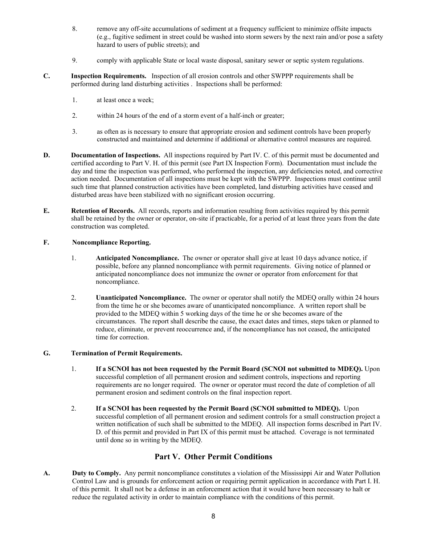- 8. remove any off-site accumulations of sediment at a frequency sufficient to minimize offsite impacts (e.g., fugitive sediment in street could be washed into storm sewers by the next rain and/or pose a safety hazard to users of public streets); and
- 9. comply with applicable State or local waste disposal, sanitary sewer or septic system regulations.
- **C. Inspection Requirements.** Inspection of all erosion controls and other SWPPP requirements shall be performed during land disturbing activities . Inspections shall be performed:
	- 1. at least once a week;
	- 2. within 24 hours of the end of a storm event of a half-inch or greater;
	- 3. as often as is necessary to ensure that appropriate erosion and sediment controls have been properly constructed and maintained and determine if additional or alternative control measures are required.
- **D. Documentation of Inspections.** All inspections required by Part IV. C. of this permit must be documented and certified according to Part V. H. of this permit (see Part IX Inspection Form). Documentation must include the day and time the inspection was performed, who performed the inspection, any deficiencies noted, and corrective action needed. Documentation of all inspections must be kept with the SWPPP. Inspections must continue until such time that planned construction activities have been completed, land disturbing activities have ceased and disturbed areas have been stabilized with no significant erosion occurring.
- **E. Retention of Records.** All records, reports and information resulting from activities required by this permit shall be retained by the owner or operator, on-site if practicable, for a period of at least three years from the date construction was completed.

## **F. Noncompliance Reporting.**

- 1. **Anticipated Noncompliance.** The owner or operator shall give at least 10 days advance notice, if possible, before any planned noncompliance with permit requirements. Giving notice of planned or anticipated noncompliance does not immunize the owner or operator from enforcement for that noncompliance.
- 2. **Unanticipated Noncompliance.** The owner or operator shall notify the MDEQ orally within 24 hours from the time he or she becomes aware of unanticipated noncompliance. A written report shall be provided to the MDEQ within 5 working days of the time he or she becomes aware of the circumstances. The report shall describe the cause, the exact dates and times, steps taken or planned to reduce, eliminate, or prevent reoccurrence and, if the noncompliance has not ceased, the anticipated time for correction.

## **G. Termination of Permit Requirements.**

- 1. **If a SCNOI has not been requested by the Permit Board (SCNOI not submitted to MDEQ).** Upon successful completion of all permanent erosion and sediment controls, inspections and reporting requirements are no longer required. The owner or operator must record the date of completion of all permanent erosion and sediment controls on the final inspection report.
- 2. **If a SCNOI has been requested by the Permit Board (SCNOI submitted to MDEQ).** Upon successful completion of all permanent erosion and sediment controls for a small construction project a written notification of such shall be submitted to the MDEQ. All inspection forms described in Part IV. D. of this permit and provided in Part IX of this permit must be attached. Coverage is not terminated until done so in writing by the MDEQ.

## **Part V. Other Permit Conditions**

**A. Duty to Comply.** Any permit noncompliance constitutes a violation of the Mississippi Air and Water Pollution Control Law and is grounds for enforcement action or requiring permit application in accordance with Part I. H. of this permit. It shall not be a defense in an enforcement action that it would have been necessary to halt or reduce the regulated activity in order to maintain compliance with the conditions of this permit.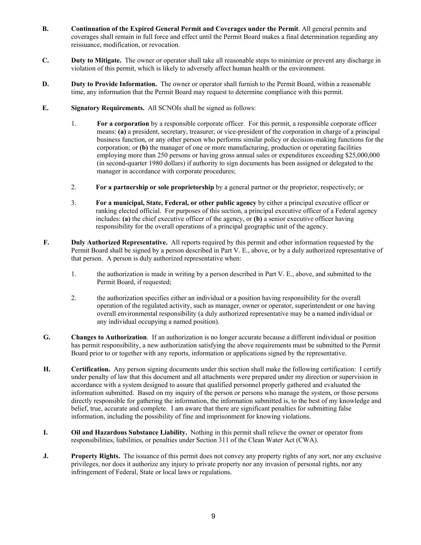- **B. Continuation of the Expired General Permit and Coverages under the Permit**. All general permits and coverages shall remain in full force and effect until the Permit Board makes a final determination regarding any reissuance, modification, or revocation.
- **C. Duty to Mitigate.** The owner or operator shall take all reasonable steps to minimize or prevent any discharge in violation of this permit, which is likely to adversely affect human health or the environment.
- **D.** Duty to Provide Information. The owner or operator shall furnish to the Permit Board, within a reasonable time, any information that the Permit Board may request to determine compliance with this permit.
- **E. Signatory Requirements.** All SCNOIs shall be signed as follows:
	- 1. **For a corporation** by a responsible corporate officer. For this permit, a responsible corporate officer means: **(a)** a president, secretary, treasurer, or vice-president of the corporation in charge of a principal business function, or any other person who performs similar policy or decision-making functions for the corporation; or **(b)** the manager of one or more manufacturing, production or operating facilities employing more than 250 persons or having gross annual sales or expenditures exceeding \$25,000,000 (in second-quarter 1980 dollars) if authority to sign documents has been assigned or delegated to the manager in accordance with corporate procedures;
	- 2. **For a partnership or sole proprietorship** by a general partner or the proprietor, respectively; or
	- 3. **For a municipal, State, Federal, or other public agency** by either a principal executive officer or ranking elected official. For purposes of this section, a principal executive officer of a Federal agency includes: **(a)** the chief executive officer of the agency, or **(b)** a senior executive officer having responsibility for the overall operations of a principal geographic unit of the agency.
- **F. Duly Authorized Representative.** All reports required by this permit and other information requested by the Permit Board shall be signed by a person described in Part V. E., above, or by a duly authorized representative of that person. A person is duly authorized representative when:
	- 1. the authorization is made in writing by a person described in Part V. E., above, and submitted to the Permit Board, if requested;
	- 2. the authorization specifies either an individual or a position having responsibility for the overall operation of the regulated activity, such as manager, owner or operator, superintendent or one having overall environmental responsibility (a duly authorized representative may be a named individual or any individual occupying a named position).
- **G. Changes to Authorization**. If an authorization is no longer accurate because a different individual or position has permit responsibility, a new authorization satisfying the above requirements must be submitted to the Permit Board prior to or together with any reports, information or applications signed by the representative.
- **H. Certification.** Any person signing documents under this section shall make the following certification: I certify under penalty of law that this document and all attachments were prepared under my direction or supervision in accordance with a system designed to assure that qualified personnel properly gathered and evaluated the information submitted. Based on my inquiry of the person or persons who manage the system, or those persons directly responsible for gathering the information, the information submitted is, to the best of my knowledge and belief, true, accurate and complete. I am aware that there are significant penalties for submitting false information, including the possibility of fine and imprisonment for knowing violations.
- **I. Oil and Hazardous Substance Liability.** Nothing in this permit shall relieve the owner or operator from responsibilities, liabilities, or penalties under Section 311 of the Clean Water Act (CWA).
- **J.** Property Rights. The issuance of this permit does not convey any property rights of any sort, nor any exclusive privileges, nor does it authorize any injury to private property nor any invasion of personal rights, nor any infringement of Federal, State or local laws or regulations.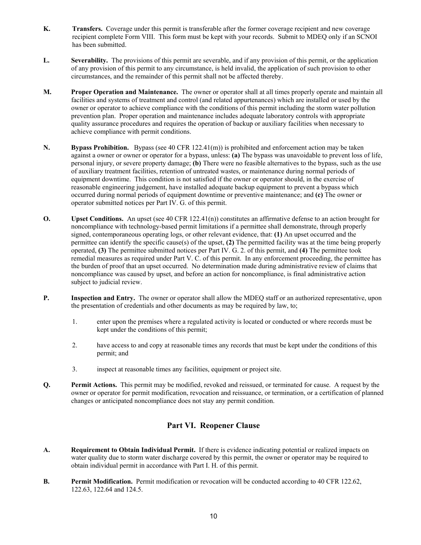- **K. Transfers.** Coverage under this permit is transferable after the former coverage recipient and new coverage recipient complete Form VIII. This form must be kept with your records. Submit to MDEQ only if an SCNOI has been submitted.
- **L. Severability.** The provisions of this permit are severable, and if any provision of this permit, or the application of any provision of this permit to any circumstance, is held invalid, the application of such provision to other circumstances, and the remainder of this permit shall not be affected thereby.
- **M. Proper Operation and Maintenance.** The owner or operator shall at all times properly operate and maintain all facilities and systems of treatment and control (and related appurtenances) which are installed or used by the owner or operator to achieve compliance with the conditions of this permit including the storm water pollution prevention plan. Proper operation and maintenance includes adequate laboratory controls with appropriate quality assurance procedures and requires the operation of backup or auxiliary facilities when necessary to achieve compliance with permit conditions.
- **N. Bypass Prohibition.** Bypass (see 40 CFR 122.41(m)) is prohibited and enforcement action may be taken against a owner or owner or operator for a bypass, unless: **(a)** The bypass was unavoidable to prevent loss of life, personal injury, or severe property damage; **(b)** There were no feasible alternatives to the bypass, such as the use of auxiliary treatment facilities, retention of untreated wastes, or maintenance during normal periods of equipment downtime. This condition is not satisfied if the owner or operator should, in the exercise of reasonable engineering judgement, have installed adequate backup equipment to prevent a bypass which occurred during normal periods of equipment downtime or preventive maintenance; and **(c)** The owner or operator submitted notices per Part IV. G. of this permit.
- **O.** Upset Conditions. An upset (see 40 CFR 122.41(n)) constitutes an affirmative defense to an action brought for noncompliance with technology-based permit limitations if a permittee shall demonstrate, through properly signed, contemporaneous operating logs, or other relevant evidence, that: **(1)** An upset occurred and the permittee can identify the specific cause(s) of the upset, **(2)** The permitted facility was at the time being properly operated, **(3)** The permittee submitted notices per Part IV. G. 2. of this permit, and **(4)** The permittee took remedial measures as required under Part V. C. of this permit. In any enforcement proceeding, the permittee has the burden of proof that an upset occurred. No determination made during administrative review of claims that noncompliance was caused by upset, and before an action for noncompliance, is final administrative action subject to judicial review.
- **P.** Inspection and Entry. The owner or operator shall allow the MDEQ staff or an authorized representative, upon the presentation of credentials and other documents as may be required by law, to;
	- 1. enter upon the premises where a regulated activity is located or conducted or where records must be kept under the conditions of this permit;
	- 2. have access to and copy at reasonable times any records that must be kept under the conditions of this permit; and
	- 3. inspect at reasonable times any facilities, equipment or project site.
- **Q. Permit Actions.** This permit may be modified, revoked and reissued, or terminated for cause. A request by the owner or operator for permit modification, revocation and reissuance, or termination, or a certification of planned changes or anticipated noncompliance does not stay any permit condition.

## **Part VI. Reopener Clause**

- **A. Requirement to Obtain Individual Permit.** If there is evidence indicating potential or realized impacts on water quality due to storm water discharge covered by this permit, the owner or operator may be required to obtain individual permit in accordance with Part I. H. of this permit.
- **B.** Permit Modification. Permit modification or revocation will be conducted according to 40 CFR 122.62, 122.63, 122.64 and 124.5.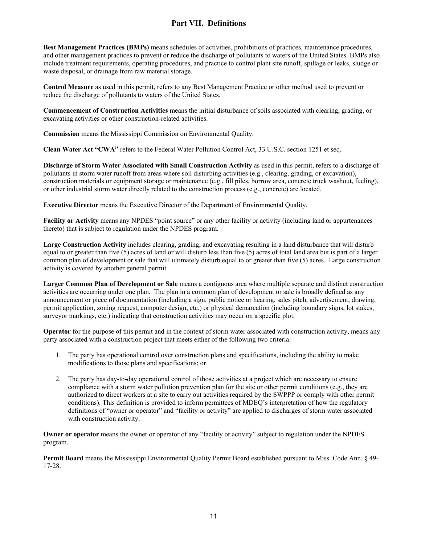## **Part VII. Definitions**

**Best Management Practices (BMPs)** means schedules of activities, prohibitions of practices, maintenance procedures, and other management practices to prevent or reduce the discharge of pollutants to waters of the United States. BMPs also include treatment requirements, operating procedures, and practice to control plant site runoff, spillage or leaks, sludge or waste disposal, or drainage from raw material storage.

**Control Measure** as used in this permit, refers to any Best Management Practice or other method used to prevent or reduce the discharge of pollutants to waters of the United States.

**Commencement of Construction Activities** means the initial disturbance of soils associated with clearing, grading, or excavating activities or other construction-related activities.

**Commission** means the Mississippi Commission on Environmental Quality.

**Clean Water Act "CWA"** refers to the Federal Water Pollution Control Act, 33 U.S.C. section 1251 et seq.

**Discharge of Storm Water Associated with Small Construction Activity** as used in this permit, refers to a discharge of pollutants in storm water runoff from areas where soil disturbing activities (e.g., clearing, grading, or excavation), construction materials or equipment storage or maintenance (e.g., fill piles, borrow area, concrete truck washout, fueling), or other industrial storm water directly related to the construction process (e.g., concrete) are located.

**Executive Director** means the Executive Director of the Department of Environmental Quality.

**Facility or Activity** means any NPDES "point source" or any other facility or activity (including land or appurtenances thereto) that is subject to regulation under the NPDES program.

**Large Construction Activity** includes clearing, grading, and excavating resulting in a land disturbance that will disturb equal to or greater than five (5) acres of land or will disturb less than five (5) acres of total land area but is part of a larger common plan of development or sale that will ultimately disturb equal to or greater than five (5) acres. Large construction activity is covered by another general permit.

**Larger Common Plan of Development or Sale** means a contiguous area where multiple separate and distinct construction activities are occurring under one plan. The plan in a common plan of development or sale is broadly defined as any announcement or piece of documentation (including a sign, public notice or hearing, sales pitch, advertisement, drawing, permit application, zoning request, computer design, etc.) or physical demarcation (including boundary signs, lot stakes, surveyor markings, etc.) indicating that construction activities may occur on a specific plot.

**Operator** for the purpose of this permit and in the context of storm water associated with construction activity, means any party associated with a construction project that meets either of the following two criteria:

- 1. The party has operational control over construction plans and specifications, including the ability to make modifications to those plans and specifications; or
- 2. The party has day-to-day operational control of those activities at a project which are necessary to ensure compliance with a storm water pollution prevention plan for the site or other permit conditions (e.g., they are authorized to direct workers at a site to carry out activities required by the SWPPP or comply with other permit conditions). This definition is provided to inform permittees of MDEQ's interpretation of how the regulatory definitions of "owner or operator" and "facility or activity" are applied to discharges of storm water associated with construction activity.

**Owner or operator** means the owner or operator of any "facility or activity" subject to regulation under the NPDES program.

**Permit Board** means the Mississippi Environmental Quality Permit Board established pursuant to Miss. Code Ann. § 49- 17-28.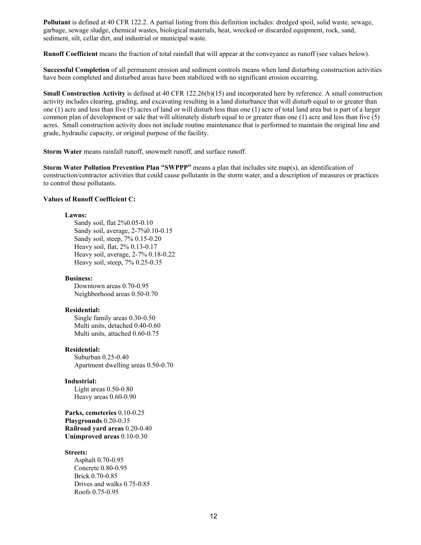**Pollutant** is defined at 40 CFR 122.2. A partial listing from this definition includes: dredged spoil, solid waste, sewage, garbage, sewage sludge, chemical wastes, biological materials, heat, wrecked or discarded equipment, rock, sand, sediment, silt, cellar dirt, and industrial or municipal waste.

**Runoff Coefficient** means the fraction of total rainfall that will appear at the conveyance as runoff (see values below).

**Successful Completion** of all permanent erosion and sediment controls means when land disturbing construction activities have been completed and disturbed areas have been stabilized with no significant erosion occurring.

**Small Construction Activity** is defined at 40 CFR 122.26(b)(15) and incorporated here by reference. A small construction activity includes clearing, grading, and excavating resulting in a land disturbance that will disturb equal to or greater than one (1) acre and less than five (5) acres of land or will disturb less than one (1) acre of total land area but is part of a larger common plan of development or sale that will ultimately disturb equal to or greater than one (1) acre and less than five (5) acres. Small construction activity does not include routine maintenance that is performed to maintain the original line and grade, hydraulic capacity, or original purpose of the facility.

**Storm Water** means rainfall runoff, snowmelt runoff, and surface runoff.

**Storm Water Pollution Prevention Plan "SWPPP"** means a plan that includes site map(s), an identification of construction/contractor activities that could cause pollutants in the storm water, and a description of measures or practices to control these pollutants.

## **Values of Runoff Coefficient C:**

#### **Lawns:**

Sandy soil, flat 2%0.05-0.10 Sandy soil, average, 2-7%0.10-0.15 Sandy soil, steep, 7% 0.15-0.20 Heavy soil, flat, 2% 0.13-0.17 Heavy soil, average, 2-7% 0.18-0.22 Heavy soil, steep, 7% 0.25-0.35

#### **Business:**

Downtown areas 0.70-0.95 Neighborhood areas 0.50-0.70

#### **Residential:**

Single family areas 0.30-0.50 Multi units, detached 0.40-0.60 Multi units, attached 0.60-0.75

#### **Residential:**

Suburban 0.25-0.40 Apartment dwelling areas 0.50-0.70

#### **Industrial:**

Light areas 0.50-0.80 Heavy areas 0.60-0.90

**Parks, cemeteries** 0.10-0.25 **Playgrounds** 0.20-0.35 **Railroad yard areas** 0.20-0.40 **Unimproved areas** 0.10-0.30

#### **Streets:**

Asphalt 0.70-0.95 Concrete 0.80-0.95 Brick 0.70-0.85 Drives and walks 0.75-0.85 Roofs 0.75-0.95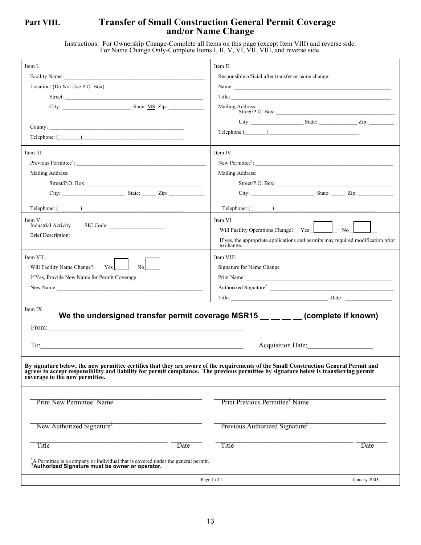## **Part VIII. Transfer of Small Construction General Permit Coverage and/or Name Change**

Instructions: For Ownership Change-Complete all Items on this page (except Item VIII) and reverse side. For Name Change Only-Complete Items I, II, V, VI, VII, VIII, and reverse side.

| Item I.<br>Location: (Do Not Use P.O. Box)                                                                                                                                                                                                                                                                                                                                                                                                         | Item II.<br>Responsible official after transfer or name change:<br>Mailing Address:<br>$\begin{tabular}{c} \bf Telephone & \textcolor{red}{\textbf{0.22}\textwidth} \end{tabular}$ |
|----------------------------------------------------------------------------------------------------------------------------------------------------------------------------------------------------------------------------------------------------------------------------------------------------------------------------------------------------------------------------------------------------------------------------------------------------|------------------------------------------------------------------------------------------------------------------------------------------------------------------------------------|
| Item III.                                                                                                                                                                                                                                                                                                                                                                                                                                          | Item IV.                                                                                                                                                                           |
| Previous Permittee <sup>1</sup> :                                                                                                                                                                                                                                                                                                                                                                                                                  | New Permittee <sup>1</sup> :                                                                                                                                                       |
| Mailing Address:                                                                                                                                                                                                                                                                                                                                                                                                                                   | Mailing Address:                                                                                                                                                                   |
|                                                                                                                                                                                                                                                                                                                                                                                                                                                    |                                                                                                                                                                                    |
|                                                                                                                                                                                                                                                                                                                                                                                                                                                    |                                                                                                                                                                                    |
|                                                                                                                                                                                                                                                                                                                                                                                                                                                    |                                                                                                                                                                                    |
| Item V.                                                                                                                                                                                                                                                                                                                                                                                                                                            | Item VI.                                                                                                                                                                           |
| Industrial Activity                                                                                                                                                                                                                                                                                                                                                                                                                                | Will Facility Operations Change? Yes <u>Landella</u> No Land                                                                                                                       |
| SIC Code:                                                                                                                                                                                                                                                                                                                                                                                                                                          | If yes, the appropriate applications and permits may required modification prior                                                                                                   |
| <b>Brief Description:</b>                                                                                                                                                                                                                                                                                                                                                                                                                          | to change.                                                                                                                                                                         |
| Item VII.                                                                                                                                                                                                                                                                                                                                                                                                                                          | Item VIII.                                                                                                                                                                         |
| Will Facility Name Change?                                                                                                                                                                                                                                                                                                                                                                                                                         | Signature for Name Change                                                                                                                                                          |
| Yes                                                                                                                                                                                                                                                                                                                                                                                                                                                |                                                                                                                                                                                    |
| No                                                                                                                                                                                                                                                                                                                                                                                                                                                 | Authorized Signature <sup>2</sup> :                                                                                                                                                |
| If Yes, Provide New Name for Permit Coverage.                                                                                                                                                                                                                                                                                                                                                                                                      |                                                                                                                                                                                    |
|                                                                                                                                                                                                                                                                                                                                                                                                                                                    | Date: $\qquad \qquad$                                                                                                                                                              |
| Item IX.<br>From: $\qquad \qquad$<br>To:<br><u> 1989 - Johann Stoff, deutscher Stoffen und der Stoffen und der Stoffen und der Stoffen und der Stoffen und de</u><br>By signature below, the new permittee certifies that they are aware of the requirements of the Small Construction General Permit and<br>agrees to accept responsibility and liability for permit compliance. The previous permittee by signature below is transferring permit | We the undersigned transfer permit coverage MSR15 $\_\_\_\_$ (complete if known)<br>Acquisition Date:                                                                              |
| coverage to the new permittee.<br>Print New Permittee <sup>1</sup> Name                                                                                                                                                                                                                                                                                                                                                                            | Print Previous Permittee <sup>1</sup> Name                                                                                                                                         |
| New Authorized Signature <sup>2</sup>                                                                                                                                                                                                                                                                                                                                                                                                              | Previous Authorized Signature <sup>2</sup>                                                                                                                                         |
| Title                                                                                                                                                                                                                                                                                                                                                                                                                                              | Title                                                                                                                                                                              |
| Date                                                                                                                                                                                                                                                                                                                                                                                                                                               | Date                                                                                                                                                                               |
| A Permittee is a company or individual that is covered under the general permit.                                                                                                                                                                                                                                                                                                                                                                   | Page 1 of 2                                                                                                                                                                        |
| <sup>2</sup> Authorized Signature must be owner or operator.                                                                                                                                                                                                                                                                                                                                                                                       | January 2003                                                                                                                                                                       |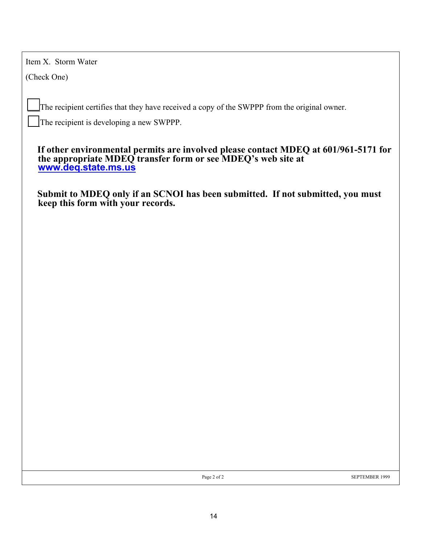Item X. Storm Water

(Check One)

The recipient certifies that they have received a copy of the SWPPP from the original owner.

The recipient is developing a new SWPPP.

**If other environmental permits are involved please contact MDEQ at 601/961-5171 for the appropriate MDEQ transfer form or see MDEQ's web site at [www.deq.state.ms.us](http://www.deq.state.ms.us/)**

**Submit to MDEQ only if an SCNOI has been submitted. If not submitted, you must keep this form with your records.**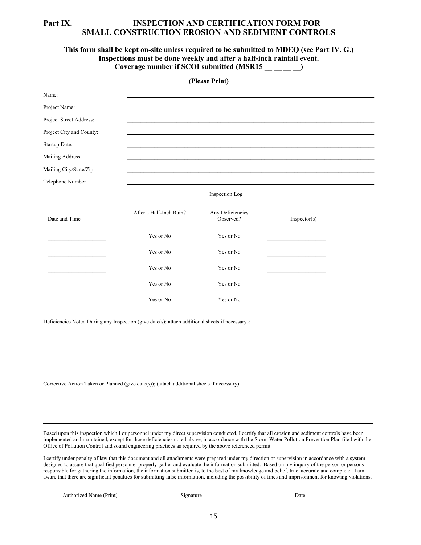## **Part IX. INSPECTION AND CERTIFICATION FORM FOR SMALL CONSTRUCTION EROSION AND SEDIMENT CONTROLS**

## **This form shall be kept on-site unless required to be submitted to MDEQ (see Part IV. G.) Inspections must be done weekly and after a half-inch rainfall event. Coverage number if SCOI submitted (MSR15 \_\_ \_\_ \_\_ \_\_)**

|                                                                                                 |                         | (Please Print)                |               |
|-------------------------------------------------------------------------------------------------|-------------------------|-------------------------------|---------------|
| Name:                                                                                           |                         |                               |               |
| Project Name:                                                                                   |                         |                               |               |
| Project Street Address:                                                                         |                         |                               |               |
| Project City and County:                                                                        |                         |                               |               |
| Startup Date:                                                                                   |                         |                               |               |
| Mailing Address:                                                                                |                         |                               |               |
| Mailing City/State/Zip                                                                          |                         |                               |               |
| Telephone Number                                                                                |                         |                               |               |
|                                                                                                 |                         | <b>Inspection Log</b>         |               |
| Date and Time                                                                                   | After a Half-Inch Rain? | Any Deficiencies<br>Observed? | In spectro(s) |
|                                                                                                 | Yes or No               | Yes or No                     |               |
|                                                                                                 | Yes or No               | Yes or No                     |               |
|                                                                                                 | Yes or No               | Yes or No                     |               |
|                                                                                                 | Yes or No               | Yes or No                     |               |
|                                                                                                 | Yes or No               | Yes or No                     |               |
| Deficiencies Noted During any Inspection (give date(s); attach additional sheets if necessary): |                         |                               |               |
| Corrective Action Taken or Planned (give date(s)); (attach additional sheets if necessary):     |                         |                               |               |

Based upon this inspection which I or personnel under my direct supervision conducted, I certify that all erosion and sediment controls have been implemented and maintained, except for those deficiencies noted above, in accordance with the Storm Water Pollution Prevention Plan filed with the Office of Pollution Control and sound engineering practices as required by the above referenced permit.

 $\mathcal{L}_\mathcal{L} = \mathcal{L}_\mathcal{L} = \mathcal{L}_\mathcal{L} = \mathcal{L}_\mathcal{L} = \mathcal{L}_\mathcal{L} = \mathcal{L}_\mathcal{L} = \mathcal{L}_\mathcal{L} = \mathcal{L}_\mathcal{L} = \mathcal{L}_\mathcal{L} = \mathcal{L}_\mathcal{L} = \mathcal{L}_\mathcal{L} = \mathcal{L}_\mathcal{L} = \mathcal{L}_\mathcal{L} = \mathcal{L}_\mathcal{L} = \mathcal{L}_\mathcal{L} = \mathcal{L}_\mathcal{L} = \mathcal{L}_\mathcal{L}$ 

 $\mathcal{L}_\mathcal{L} = \mathcal{L}_\mathcal{L} = \mathcal{L}_\mathcal{L} = \mathcal{L}_\mathcal{L} = \mathcal{L}_\mathcal{L} = \mathcal{L}_\mathcal{L} = \mathcal{L}_\mathcal{L} = \mathcal{L}_\mathcal{L} = \mathcal{L}_\mathcal{L} = \mathcal{L}_\mathcal{L} = \mathcal{L}_\mathcal{L} = \mathcal{L}_\mathcal{L} = \mathcal{L}_\mathcal{L} = \mathcal{L}_\mathcal{L} = \mathcal{L}_\mathcal{L} = \mathcal{L}_\mathcal{L} = \mathcal{L}_\mathcal{L}$ 

I certify under penalty of law that this document and all attachments were prepared under my direction or supervision in accordance with a system designed to assure that qualified personnel properly gather and evaluate the information submitted. Based on my inquiry of the person or persons responsible for gathering the information, the information submitted is, to the best of my knowledge and belief, true, accurate and complete. I am aware that there are significant penalties for submitting false information, including the possibility of fines and imprisonment for knowing violations.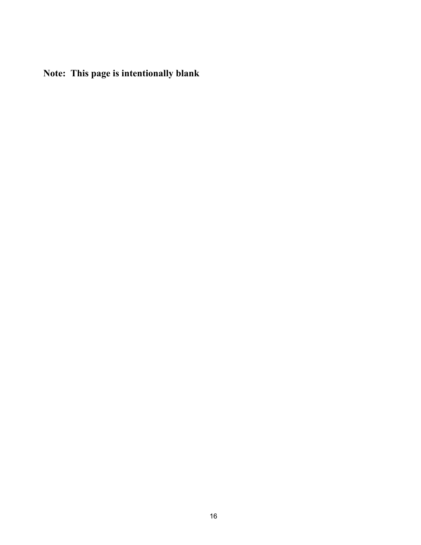**Note: This page is intentionally blank**